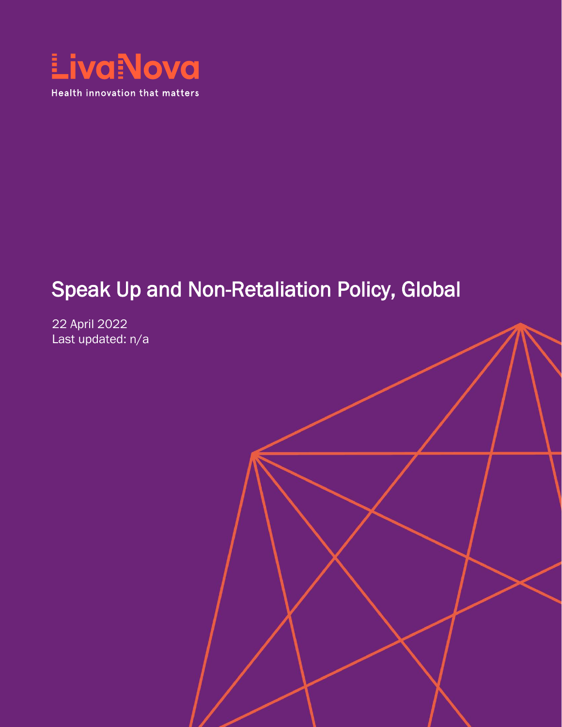

# Speak Up and Non-Retaliation Policy, Global

22 April 2022 Last updated: n/a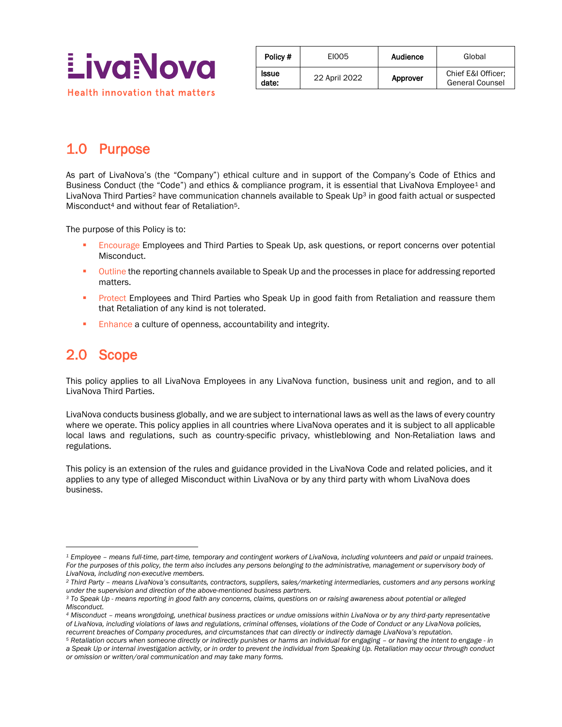

| Policy #              | EI005         | Audience | Global                                       |
|-----------------------|---------------|----------|----------------------------------------------|
| <b>Issue</b><br>date: | 22 April 2022 | Approver | Chief E&I Officer:<br><b>General Counsel</b> |

## 1.0 Purpose

As part of LivaNova's (the "Company") ethical culture and in support of the Company's Code of Ethics and Business Conduct (the "Code") and ethics & compliance program, it is essential that LivaNova Employee<sup>1</sup> and LivaNova Third Parties<sup>2</sup> have communication channels available to Speak Up<sup>3</sup> in good faith actual or suspected Misconduct<sup>4</sup> and without fear of Retaliation<sup>5</sup>.

The purpose of this Policy is to:

- Encourage Employees and Third Parties to Speak Up, ask questions, or report concerns over potential Misconduct.
- **•** Outline the reporting channels available to Speak Up and the processes in place for addressing reported matters.
- **Protect Employees and Third Parties who Speak Up in good faith from Retaliation and reassure them** that Retaliation of any kind is not tolerated.
- **Enhance a culture of openness, accountability and integrity.**

#### 2.0 Scope

 $\overline{a}$ 

This policy applies to all LivaNova Employees in any LivaNova function, business unit and region, and to all LivaNova Third Parties.

LivaNova conducts business globally, and we are subject to international laws as well as the laws of every country where we operate. This policy applies in all countries where LivaNova operates and it is subject to all applicable local laws and regulations, such as country-specific privacy, whistleblowing and Non-Retaliation laws and regulations.

This policy is an extension of the rules and guidance provided in the LivaNova Code and related policies, and it applies to any type of alleged Misconduct within LivaNova or by any third party with whom LivaNova does business.

*<sup>1</sup> Employee – means full-time, part-time, temporary and contingent workers of LivaNova, including volunteers and paid or unpaid trainees.*  For the purposes of this policy, the term also includes any persons belonging to the administrative, management or supervisory body of *LivaNova, including non-executive members.*

*<sup>2</sup> Third Party – means LivaNova's consultants, contractors, suppliers, sales/marketing intermediaries, customers and any persons working under the supervision and direction of the above-mentioned business partners.*

*<sup>3</sup> To Speak Up - means reporting in good faith any concerns, claims, questions on or raising awareness about potential or alleged Misconduct.*

*<sup>4</sup> Misconduct – means wrongdoing, unethical business practices or undue omissions within LivaNova or by any third-party representative of LivaNova, including violations of laws and regulations, criminal offenses, violations of the Code of Conduct or any LivaNova policies, recurrent breaches of Company procedures, and circumstances that can directly or indirectly damage LivaNova's reputation.*

*<sup>5</sup> Retaliation occurs when someone directly or indirectly punishes or harms an individual for engaging – or having the intent to engage - in a Speak Up or internal investigation activity, or in order to prevent the individual from Speaking Up. Retaliation may occur through conduct or omission or written/oral communication and may take many forms.*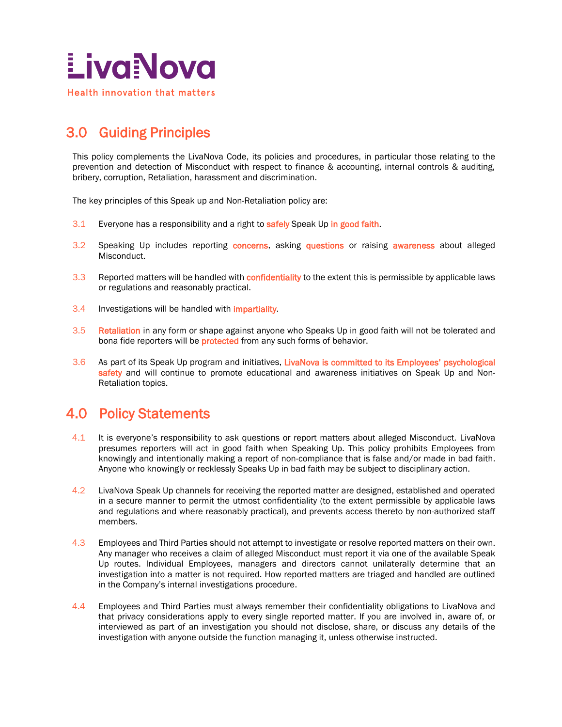

## 3.0 Guiding Principles

This policy complements the LivaNova Code, its policies and procedures, in particular those relating to the prevention and detection of Misconduct with respect to finance & accounting, internal controls & auditing, bribery, corruption, Retaliation, harassment and discrimination.

The key principles of this Speak up and Non-Retaliation policy are:

- 3.1 Everyone has a responsibility and a right to safely Speak Up in good faith.
- 3.2 Speaking Up includes reporting concerns, asking questions or raising awareness about alleged Misconduct.
- 3.3 Reported matters will be handled with confidentiality to the extent this is permissible by applicable laws or regulations and reasonably practical.
- 3.4 Investigations will be handled with *impartiality*.
- 3.5 Retaliation in any form or shape against anyone who Speaks Up in good faith will not be tolerated and bona fide reporters will be **protected** from any such forms of behavior.
- 3.6 As part of its Speak Up program and initiatives, LivaNova is committed to its Employees' psychological safety and will continue to promote educational and awareness initiatives on Speak Up and Non-Retaliation topics.

#### 4.0 Policy Statements

- 4.1 It is everyone's responsibility to ask questions or report matters about alleged Misconduct. LivaNova presumes reporters will act in good faith when Speaking Up. This policy prohibits Employees from knowingly and intentionally making a report of non-compliance that is false and/or made in bad faith. Anyone who knowingly or recklessly Speaks Up in bad faith may be subject to disciplinary action.
- 4.2 LivaNova Speak Up channels for receiving the reported matter are designed, established and operated in a secure manner to permit the utmost confidentiality (to the extent permissible by applicable laws and regulations and where reasonably practical), and prevents access thereto by non-authorized staff members.
- 4.3 Employees and Third Parties should not attempt to investigate or resolve reported matters on their own. Any manager who receives a claim of alleged Misconduct must report it via one of the available Speak Up routes. Individual Employees, managers and directors cannot unilaterally determine that an investigation into a matter is not required. How reported matters are triaged and handled are outlined in the Company's internal investigations procedure.
- 4.4 Employees and Third Parties must always remember their confidentiality obligations to LivaNova and that privacy considerations apply to every single reported matter. If you are involved in, aware of, or interviewed as part of an investigation you should not disclose, share, or discuss any details of the investigation with anyone outside the function managing it, unless otherwise instructed.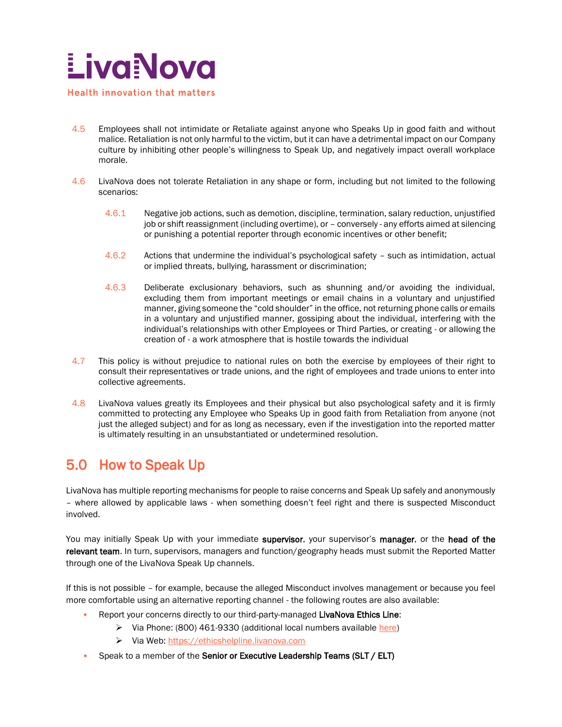

- 4.5 Employees shall not intimidate or Retaliate against anyone who Speaks Up in good faith and without malice. Retaliation is not only harmful to the victim, but it can have a detrimental impact on our Company culture by inhibiting other people's willingness to Speak Up, and negatively impact overall workplace morale.
- 4.6 LivaNova does not tolerate Retaliation in any shape or form, including but not limited to the following scenarios:
	- 4.6.1 Negative job actions, such as demotion, discipline, termination, salary reduction, unjustified job or shift reassignment (including overtime), or – conversely - any efforts aimed at silencing or punishing a potential reporter through economic incentives or other benefit;
	- 4.6.2 Actions that undermine the individual's psychological safety such as intimidation, actual or implied threats, bullying, harassment or discrimination;
	- 4.6.3 Deliberate exclusionary behaviors, such as shunning and/or avoiding the individual, excluding them from important meetings or email chains in a voluntary and unjustified manner, giving someone the "cold shoulder" in the office, not returning phone calls or emails in a voluntary and unjustified manner, gossiping about the individual, interfering with the individual's relationships with other Employees or Third Parties, or creating - or allowing the creation of - a work atmosphere that is hostile towards the individual
- 4.7 This policy is without prejudice to national rules on both the exercise by employees of their right to consult their representatives or trade unions, and the right of employees and trade unions to enter into collective agreements.
- 4.8 LivaNova values greatly its Employees and their physical but also psychological safety and it is firmly committed to protecting any Employee who Speaks Up in good faith from Retaliation from anyone (not just the alleged subject) and for as long as necessary, even if the investigation into the reported matter is ultimately resulting in an unsubstantiated or undetermined resolution.

### 5.0 How to Speak Up

LivaNova has multiple reporting mechanisms for people to raise concerns and Speak Up safely and anonymously – where allowed by applicable laws - when something doesn't feel right and there is suspected Misconduct involved.

You may initially Speak Up with your immediate supervisor, your supervisor's manager, or the head of the relevant team. In turn, supervisors, managers and function/geography heads must submit the Reported Matter through one of the LivaNova Speak Up channels.

If this is not possible – for example, because the alleged Misconduct involves management or because you feel more comfortable using an alternative reporting channel - the following routes are also available:

- Report your concerns directly to our third-party-managed LivaNova Ethics Line:
	- ➢ Via Phone: (800) 461-9330 (additional local numbers available [here\)](https://ethicshelpline.livanova.com/)
	- ➢ Via Web: [https://ethicshelpline.livanova.com](https://ethicshelpline.livanova.com/)
- **•** Speak to a member of the Senior or Executive Leadership Teams (SLT / ELT)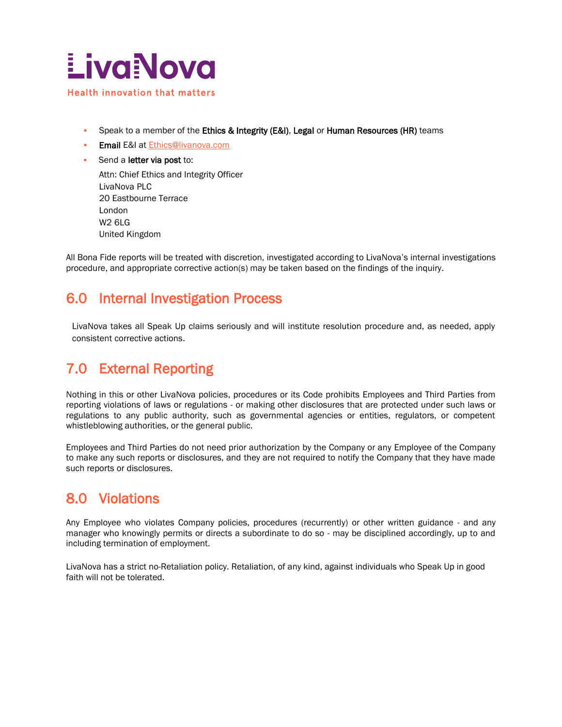

- **•** Speak to a member of the Ethics & Integrity (E&I), Legal or Human Resources (HR) teams
- **Email E&I at [Ethics@livanova.com](mailto:Ethics@livanova.com)**
- Send a letter via post to:

Attn: Chief Ethics and Integrity Officer LivaNova PLC 20 Eastbourne Terrace London W2 6LG United Kingdom

All Bona Fide reports will be treated with discretion, investigated according to LivaNova's internal investigations procedure, and appropriate corrective action(s) may be taken based on the findings of the inquiry.

#### 6.0 Internal Investigation Process

LivaNova takes all Speak Up claims seriously and will institute resolution procedure and, as needed, apply consistent corrective actions.

## 7.0 External Reporting

Nothing in this or other LivaNova policies, procedures or its Code prohibits Employees and Third Parties from reporting violations of laws or regulations - or making other disclosures that are protected under such laws or regulations to any public authority, such as governmental agencies or entities, regulators, or competent whistleblowing authorities, or the general public.

Employees and Third Parties do not need prior authorization by the Company or any Employee of the Company to make any such reports or disclosures, and they are not required to notify the Company that they have made such reports or disclosures.

#### 8.0 Violations

Any Employee who violates Company policies, procedures (recurrently) or other written guidance - and any manager who knowingly permits or directs a subordinate to do so - may be disciplined accordingly, up to and including termination of employment.

LivaNova has a strict no-Retaliation policy. Retaliation, of any kind, against individuals who Speak Up in good faith will not be tolerated.